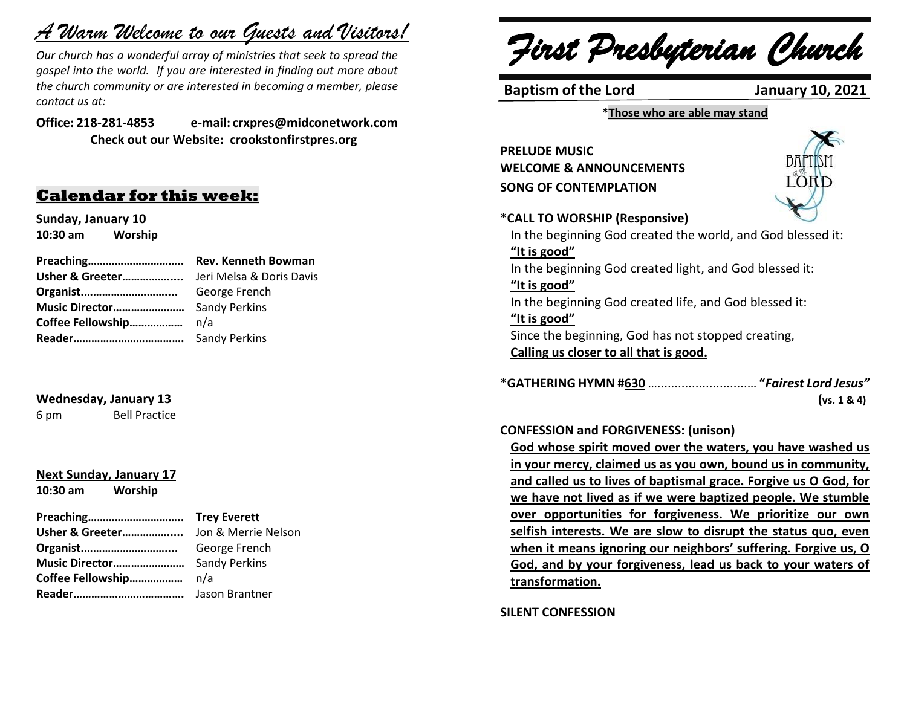# *A Warm Welcome to our Guests and Visitors!*

*Our church has a wonderful array of ministries that seek to spread the gospel into the world. If you are interested in finding out more about the church community or are interested in becoming a member, please contact us at:*

**Office: 218-281-4853 e-mail: crxpres@midconetwork.com Check out our Website: crookstonfirstpres.org**

### **Calendar for this week:**

**Sunday, January 10 10:30 am Worship** 

#### **Wednesday, January 13**

6 pm Bell Practice

## **Next Sunday, January 17**

**10:30 am Worship** 

### **Preaching………………………….. Trey Everett**

| Organist          | George French |
|-------------------|---------------|
|                   |               |
| Coffee Fellowship | n/a           |
|                   |               |
|                   |               |

*First Presbyterian Church*

**Baptism of the Lord January 10, 2021**

**\*Those who are able may stand**

**PRELUDE MUSIC WELCOME & ANNOUNCEMENTS SONG OF CONTEMPLATION**



#### **\*CALL TO WORSHIP (Responsive)**

In the beginning God created the world, and God blessed it: **"It is good"** In the beginning God created light, and God blessed it: **"It is good"** In the beginning God created life, and God blessed it: **"It is good"** Since the beginning, God has not stopped creating, **Calling us closer to all that is good.**

**\*GATHERING HYMN #630** …..........................… **"***Fairest Lord Jesus"*  **(vs. 1 & 4)**

#### **CONFESSION and FORGIVENESS: (unison)**

**God whose spirit moved over the waters, you have washed us in your mercy, claimed us as you own, bound us in community, and called us to lives of baptismal grace. Forgive us O God, for we have not lived as if we were baptized people. We stumble over opportunities for forgiveness. We prioritize our own selfish interests. We are slow to disrupt the status quo, even when it means ignoring our neighbors' suffering. Forgive us, O God, and by your forgiveness, lead us back to your waters of transformation.**

**SILENT CONFESSION**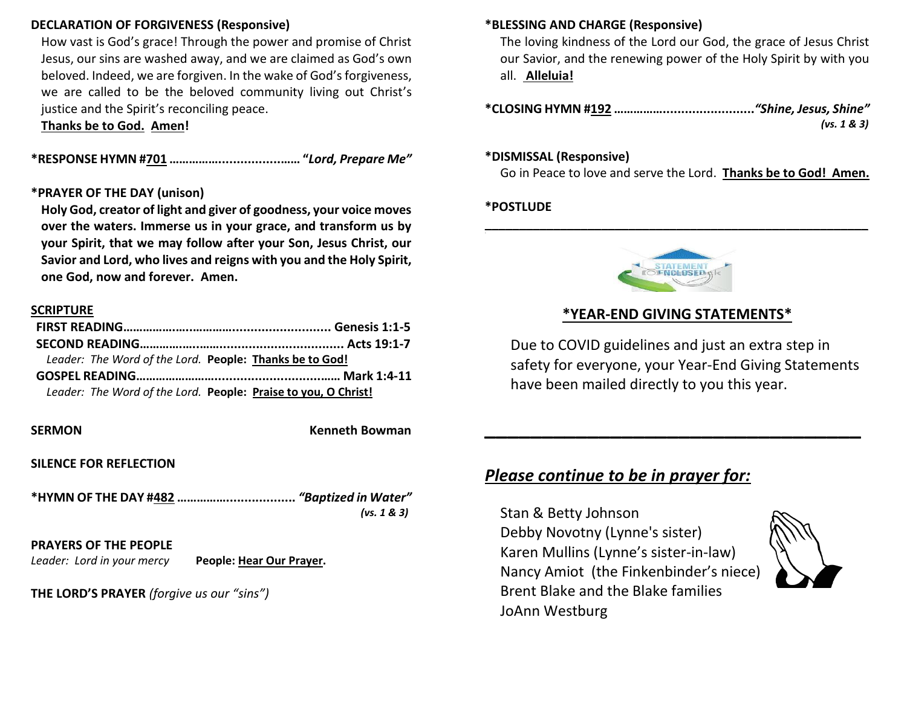### **DECLARATION OF FORGIVENESS (Responsive)**

How vast is God's grace! Through the power and promise of Christ Jesus, our sins are washed away, and we are claimed as God's own beloved. Indeed, we are forgiven. In the wake of God's forgiveness, we are called to be the beloved community living out Christ's justice and the Spirit's reconciling peace.

**Thanks be to God. Amen!**

**\*RESPONSE HYMN #701 …………….................…… "***Lord, Prepare Me"* 

#### **\*PRAYER OF THE DAY (unison)**

**Holy God, creator of light and giver of goodness, your voice moves over the waters. Immerse us in your grace, and transform us by your Spirit, that we may follow after your Son, Jesus Christ, our Savior and Lord, who lives and reigns with you and the Holy Spirit, one God, now and forever. Amen.**

#### **SCRIPTURE**

| Leader: The Word of the Lord. People: Thanks be to God!        |  |
|----------------------------------------------------------------|--|
|                                                                |  |
| Leader: The Word of the Lord. People: Praise to you, O Christ! |  |

**SERMON Kenneth Bowman** 

**SILENCE FOR REFLECTION**

| (vs. $1 & 3)$ |
|---------------|

#### **PRAYERS OF THE PEOPLE**

*Leader: Lord in your mercy* **People: Hear Our Prayer.**

**THE LORD'S PRAYER** *(forgive us our "sins")* 

#### **\*BLESSING AND CHARGE (Responsive)**

The loving kindness of the Lord our God, the grace of Jesus Christ our Savior, and the renewing power of the Holy Spirit by with you all. **Alleluia!**

**\*CLOSING HYMN #192 …………….........................***"Shine, Jesus, Shine"* *(vs. 1 & 3)*

#### **\*DISMISSAL (Responsive)**

Go in Peace to love and serve the Lord. **Thanks be to God! Amen.**

#### **\*POSTLUDE**



**\_\_\_\_\_\_\_\_\_\_\_\_\_\_\_\_\_\_\_\_\_\_\_\_\_\_\_\_\_\_\_\_\_\_\_\_\_\_\_\_\_\_\_\_\_\_\_\_\_\_\_\_\_\_\_\_**

### **\*YEAR-END GIVING STATEMENTS\***

Due to COVID guidelines and just an extra step in safety for everyone, your Year-End Giving Statements have been mailed directly to you this year.

**\_\_\_\_\_\_\_\_\_\_\_\_\_\_\_\_\_\_\_\_\_\_\_\_\_\_\_\_\_\_\_\_\_**

### *Please continue to be in prayer for:*

Stan & Betty Johnson Debby Novotny (Lynne's sister) Karen Mullins (Lynne's sister-in-law) Nancy Amiot (the Finkenbinder's niece) Brent Blake and the Blake families JoAnn Westburg

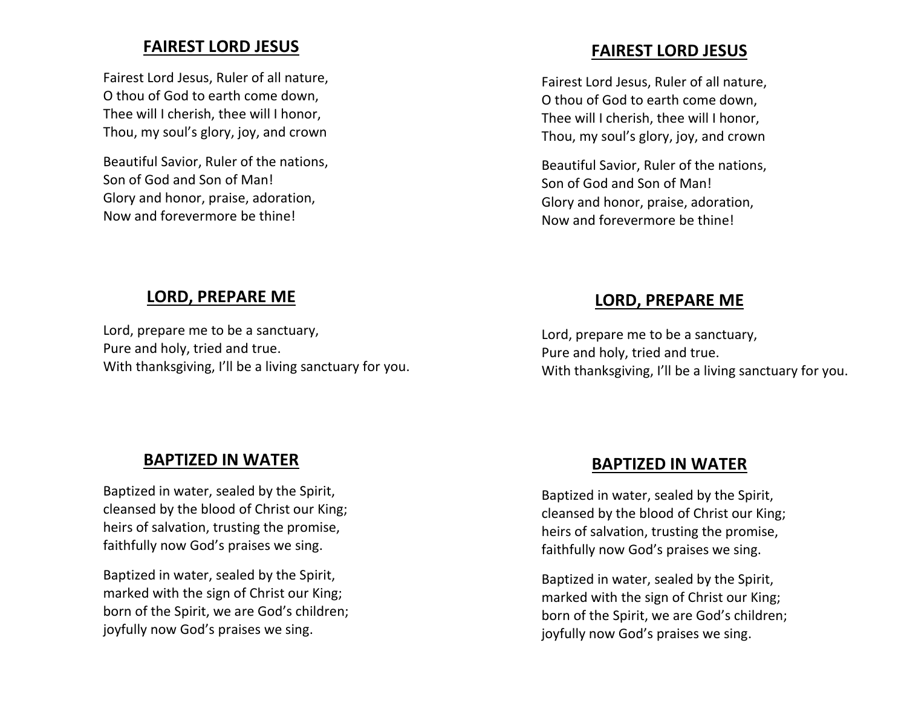### **FAIREST LORD JESUS**

Fairest Lord Jesus, Ruler of all nature, O thou of God to earth come down, Thee will I cherish, thee will I honor, Thou, my soul's glory, joy, and crown

Beautiful Savior, Ruler of the nations, Son of God and Son of Man! Glory and honor, praise, adoration, Now and forevermore be thine!

### **FAIREST LORD JESUS**

Fairest Lord Jesus, Ruler of all nature, O thou of God to earth come down, Thee will I cherish, thee will I honor, Thou, my soul's glory, joy, and crown

Beautiful Savior, Ruler of the nations, Son of God and Son of Man! Glory and honor, praise, adoration, Now and forevermore be thine!

### **LORD, PREPARE ME**

Lord, prepare me to be a sanctuary, Pure and holy, tried and true. With thanksgiving, I'll be a living sanctuary for you.

### **LORD, PREPARE ME**

Lord, prepare me to be a sanctuary, Pure and holy, tried and true. With thanksgiving, I'll be a living sanctuary for you.

### **BAPTIZED IN WATER**

Baptized in water, sealed by the Spirit, cleansed by the blood of Christ our King; heirs of salvation, trusting the promise, faithfully now God's praises we sing.

Baptized in water, sealed by the Spirit, marked with the sign of Christ our King; born of the Spirit, we are God's children; joyfully now God's praises we sing.

### **BAPTIZED IN WATER**

Baptized in water, sealed by the Spirit, cleansed by the blood of Christ our King; heirs of salvation, trusting the promise, faithfully now God's praises we sing.

Baptized in water, sealed by the Spirit, marked with the sign of Christ our King; born of the Spirit, we are God's children; joyfully now God's praises we sing.